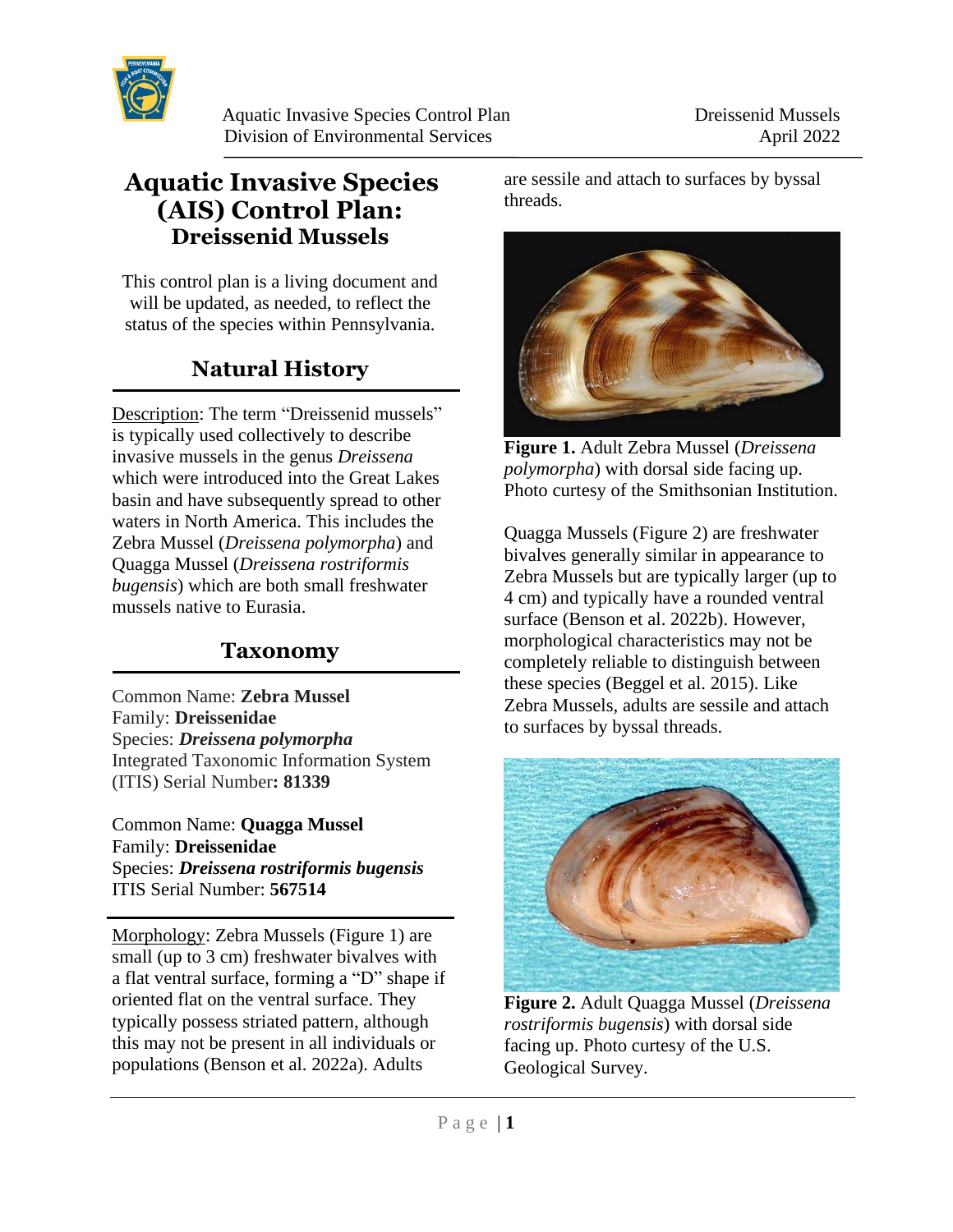

# **Aquatic Invasive Species (AIS) Control Plan: Dreissenid Mussels**

This control plan is a living document and will be updated, as needed, to reflect the status of the species within Pennsylvania.

# **Natural History**

Description: The term "Dreissenid mussels" is typically used collectively to describe invasive mussels in the genus *Dreissena* which were introduced into the Great Lakes basin and have subsequently spread to other waters in North America. This includes the Zebra Mussel (*Dreissena polymorpha*) and Quagga Mussel (*Dreissena rostriformis bugensis*) which are both small freshwater mussels native to Eurasia.

#### **Taxonomy**

Common Name: **Zebra Mussel** Family: **Dreissenidae** Species: *Dreissena polymorpha* Integrated Taxonomic Information System (ITIS) Serial Number**: 81339**

Common Name: **Quagga Mussel** Family: **Dreissenidae** Species: *Dreissena rostriformis bugensis* ITIS Serial Number: **567514**

 $\overline{a}$ 

Morphology: Zebra Mussels (Figure 1) are small (up to 3 cm) freshwater bivalves with a flat ventral surface, forming a "D" shape if oriented flat on the ventral surface. They typically possess striated pattern, although this may not be present in all individuals or populations (Benson et al. 2022a). Adults

are sessile and attach to surfaces by byssal threads.



**Figure 1.** Adult Zebra Mussel (*Dreissena polymorpha*) with dorsal side facing up. Photo curtesy of the Smithsonian Institution.

Quagga Mussels (Figure 2) are freshwater bivalves generally similar in appearance to Zebra Mussels but are typically larger (up to 4 cm) and typically have a rounded ventral surface (Benson et al. 2022b). However, morphological characteristics may not be completely reliable to distinguish between these species (Beggel et al. 2015). Like Zebra Mussels, adults are sessile and attach to surfaces by byssal threads.



**Figure 2.** Adult Quagga Mussel (*Dreissena rostriformis bugensis*) with dorsal side facing up. Photo curtesy of the U.S. Geological Survey.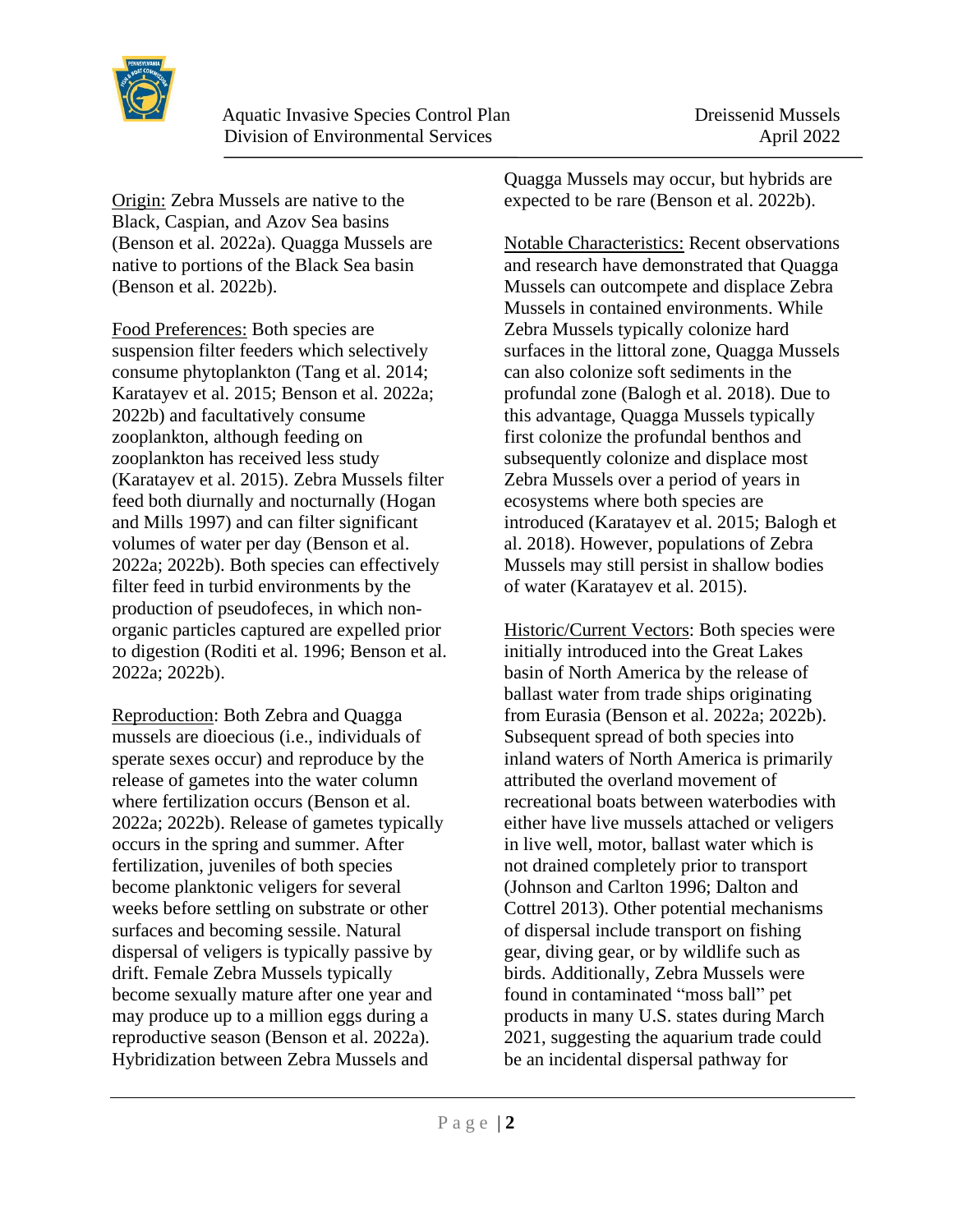

Origin: Zebra Mussels are native to the Black, Caspian, and Azov Sea basins (Benson et al. 2022a). Quagga Mussels are native to portions of the Black Sea basin (Benson et al. 2022b).

Food Preferences: Both species are suspension filter feeders which selectively consume phytoplankton (Tang et al. 2014; Karatayev et al. 2015; Benson et al. 2022a; 2022b) and facultatively consume zooplankton, although feeding on zooplankton has received less study (Karatayev et al. 2015). Zebra Mussels filter feed both diurnally and nocturnally (Hogan and Mills 1997) and can filter significant volumes of water per day (Benson et al. 2022a; 2022b). Both species can effectively filter feed in turbid environments by the production of pseudofeces, in which nonorganic particles captured are expelled prior to digestion (Roditi et al. 1996; Benson et al. 2022a; 2022b).

Reproduction: Both Zebra and Quagga mussels are dioecious (i.e., individuals of sperate sexes occur) and reproduce by the release of gametes into the water column where fertilization occurs (Benson et al. 2022a; 2022b). Release of gametes typically occurs in the spring and summer. After fertilization, juveniles of both species become planktonic veligers for several weeks before settling on substrate or other surfaces and becoming sessile. Natural dispersal of veligers is typically passive by drift. Female Zebra Mussels typically become sexually mature after one year and may produce up to a million eggs during a reproductive season (Benson et al. 2022a). Hybridization between Zebra Mussels and

Quagga Mussels may occur, but hybrids are expected to be rare (Benson et al. 2022b).

Notable Characteristics: Recent observations and research have demonstrated that Quagga Mussels can outcompete and displace Zebra Mussels in contained environments. While Zebra Mussels typically colonize hard surfaces in the littoral zone, Quagga Mussels can also colonize soft sediments in the profundal zone (Balogh et al. 2018). Due to this advantage, Quagga Mussels typically first colonize the profundal benthos and subsequently colonize and displace most Zebra Mussels over a period of years in ecosystems where both species are introduced (Karatayev et al. 2015; Balogh et al. 2018). However, populations of Zebra Mussels may still persist in shallow bodies of water (Karatayev et al. 2015).

Historic/Current Vectors: Both species were initially introduced into the Great Lakes basin of North America by the release of ballast water from trade ships originating from Eurasia (Benson et al. 2022a; 2022b). Subsequent spread of both species into inland waters of North America is primarily attributed the overland movement of recreational boats between waterbodies with either have live mussels attached or veligers in live well, motor, ballast water which is not drained completely prior to transport (Johnson and Carlton 1996; Dalton and Cottrel 2013). Other potential mechanisms of dispersal include transport on fishing gear, diving gear, or by wildlife such as birds. Additionally, Zebra Mussels were found in contaminated "moss ball" pet products in many U.S. states during March 2021, suggesting the aquarium trade could be an incidental dispersal pathway for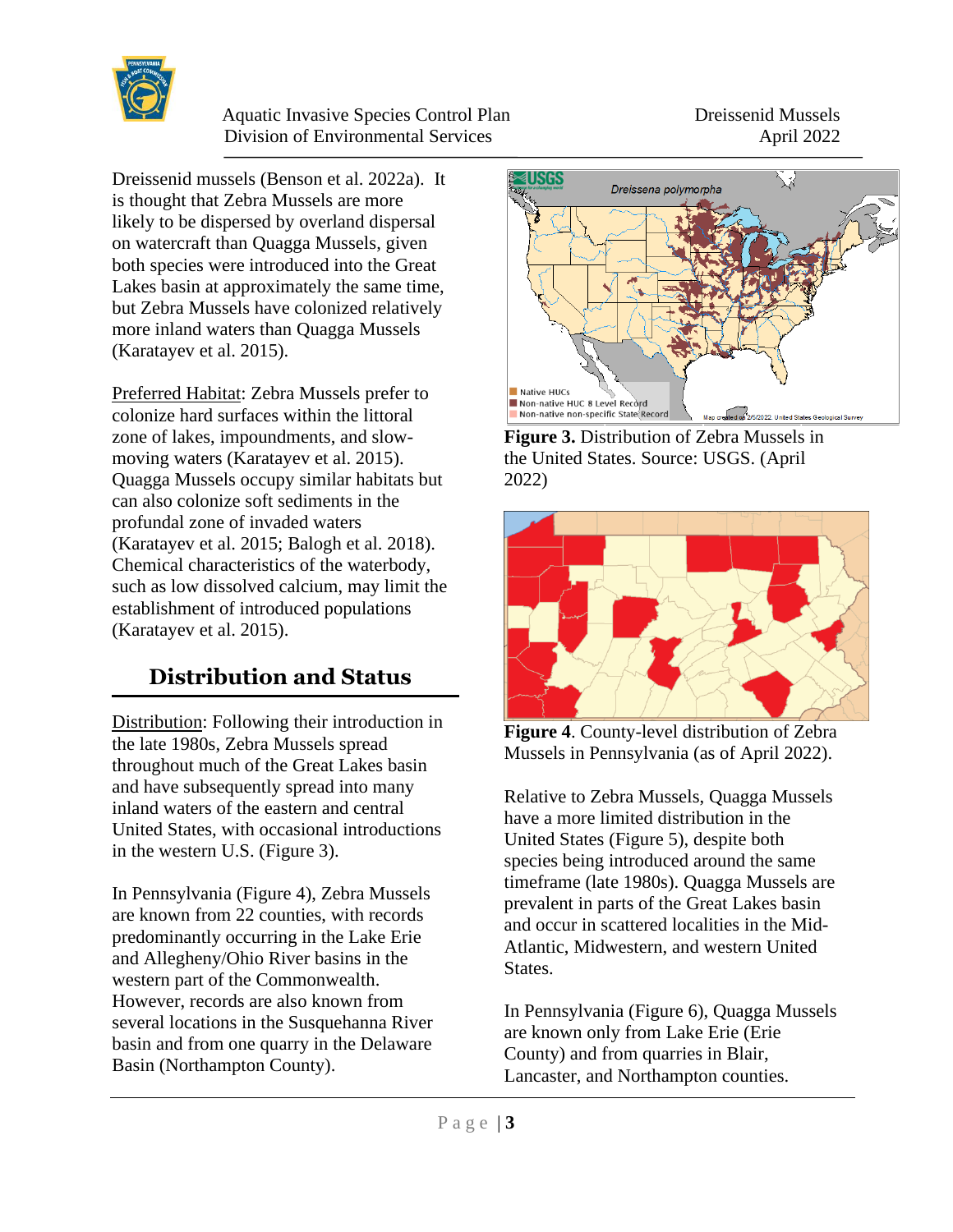

Dreissenid mussels (Benson et al. 2022a). It is thought that Zebra Mussels are more likely to be dispersed by overland dispersal on watercraft than Quagga Mussels, given both species were introduced into the Great Lakes basin at approximately the same time, but Zebra Mussels have colonized relatively more inland waters than Quagga Mussels (Karatayev et al. 2015).

Preferred Habitat: Zebra Mussels prefer to colonize hard surfaces within the littoral zone of lakes, impoundments, and slowmoving waters (Karatayev et al. 2015). Quagga Mussels occupy similar habitats but can also colonize soft sediments in the profundal zone of invaded waters (Karatayev et al. 2015; Balogh et al. 2018). Chemical characteristics of the waterbody, such as low dissolved calcium, may limit the establishment of introduced populations (Karatayev et al. 2015).

# **Distribution and Status**

Distribution: Following their introduction in the late 1980s, Zebra Mussels spread throughout much of the Great Lakes basin and have subsequently spread into many inland waters of the eastern and central United States, with occasional introductions in the western U.S. (Figure 3).

In Pennsylvania (Figure 4), Zebra Mussels are known from 22 counties, with records predominantly occurring in the Lake Erie and Allegheny/Ohio River basins in the western part of the Commonwealth. However, records are also known from several locations in the Susquehanna River basin and from one quarry in the Delaware Basin (Northampton County).



**Figure 3.** Distribution of Zebra Mussels in the United States. Source: USGS. (April 2022)



**Figure 4**. County-level distribution of Zebra Mussels in Pennsylvania (as of April 2022).

Relative to Zebra Mussels, Quagga Mussels have a more limited distribution in the United States (Figure 5), despite both species being introduced around the same timeframe (late 1980s). Quagga Mussels are prevalent in parts of the Great Lakes basin and occur in scattered localities in the Mid-Atlantic, Midwestern, and western United States.

In Pennsylvania (Figure 6), Quagga Mussels are known only from Lake Erie (Erie County) and from quarries in Blair, Lancaster, and Northampton counties.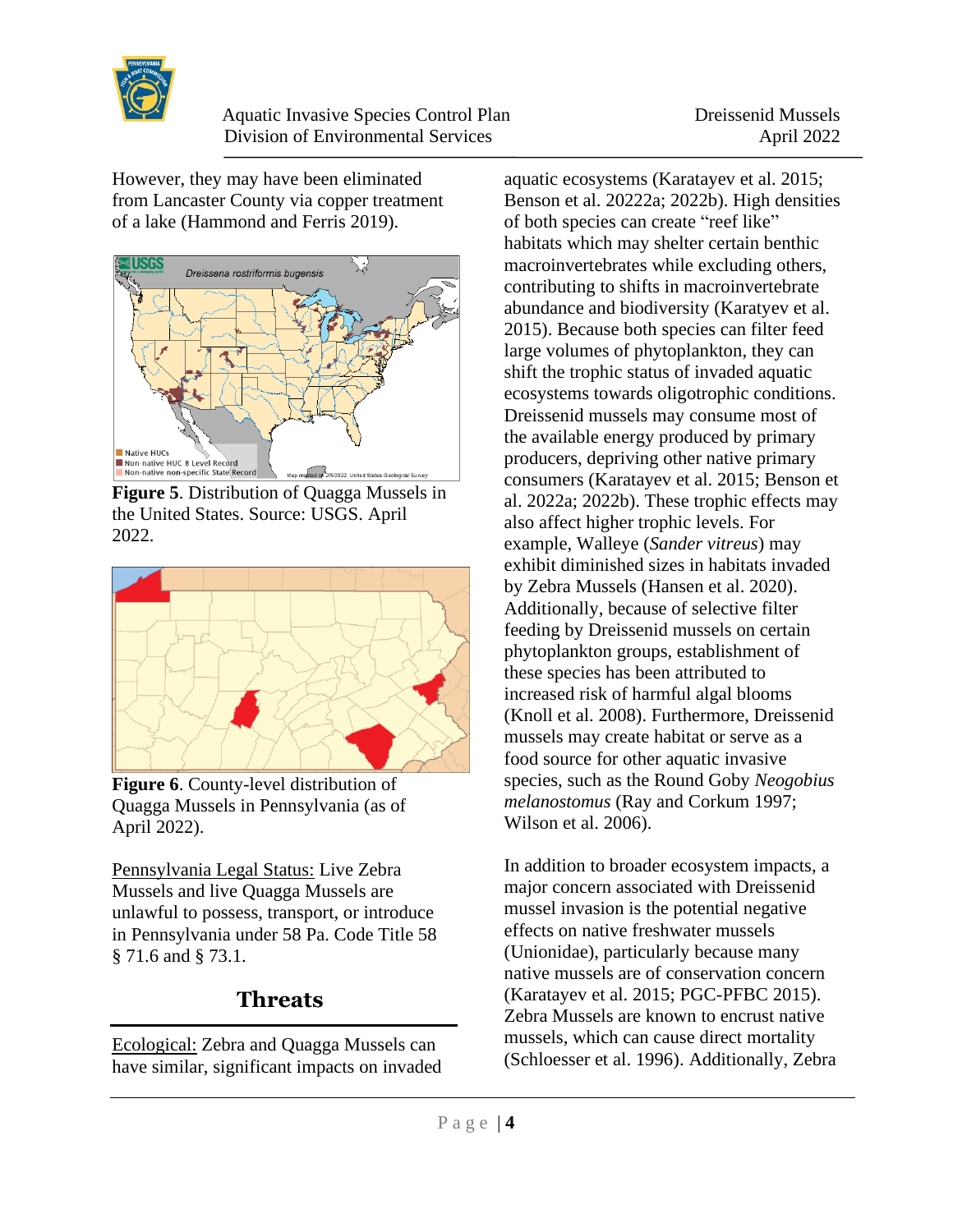

However, they may have been eliminated from Lancaster County via copper treatment of a lake (Hammond and Ferris 2019).



**Figure 5**. Distribution of Quagga Mussels in the United States. Source: USGS. April 2022.



**Figure 6**. County-level distribution of Quagga Mussels in Pennsylvania (as of April 2022).

Pennsylvania Legal Status: Live Zebra Mussels and live Quagga Mussels are unlawful to possess, transport, or introduce in Pennsylvania under 58 Pa. Code Title 58 § 71.6 and § 73.1.

### **Threats**

Ecological: Zebra and Quagga Mussels can have similar, significant impacts on invaded aquatic ecosystems (Karatayev et al. 2015; Benson et al. 20222a; 2022b). High densities of both species can create "reef like" habitats which may shelter certain benthic macroinvertebrates while excluding others, contributing to shifts in macroinvertebrate abundance and biodiversity (Karatyev et al. 2015). Because both species can filter feed large volumes of phytoplankton, they can shift the trophic status of invaded aquatic ecosystems towards oligotrophic conditions. Dreissenid mussels may consume most of the available energy produced by primary producers, depriving other native primary consumers (Karatayev et al. 2015; Benson et al. 2022a; 2022b). These trophic effects may also affect higher trophic levels. For example, Walleye (*Sander vitreus*) may exhibit diminished sizes in habitats invaded by Zebra Mussels (Hansen et al. 2020). Additionally, because of selective filter feeding by Dreissenid mussels on certain phytoplankton groups, establishment of these species has been attributed to increased risk of harmful algal blooms (Knoll et al. 2008). Furthermore, Dreissenid mussels may create habitat or serve as a food source for other aquatic invasive species, such as the Round Goby *Neogobius melanostomus* (Ray and Corkum 1997; Wilson et al. 2006).

In addition to broader ecosystem impacts, a major concern associated with Dreissenid mussel invasion is the potential negative effects on native freshwater mussels (Unionidae), particularly because many native mussels are of conservation concern (Karatayev et al. 2015; PGC-PFBC 2015). Zebra Mussels are known to encrust native mussels, which can cause direct mortality (Schloesser et al. 1996). Additionally, Zebra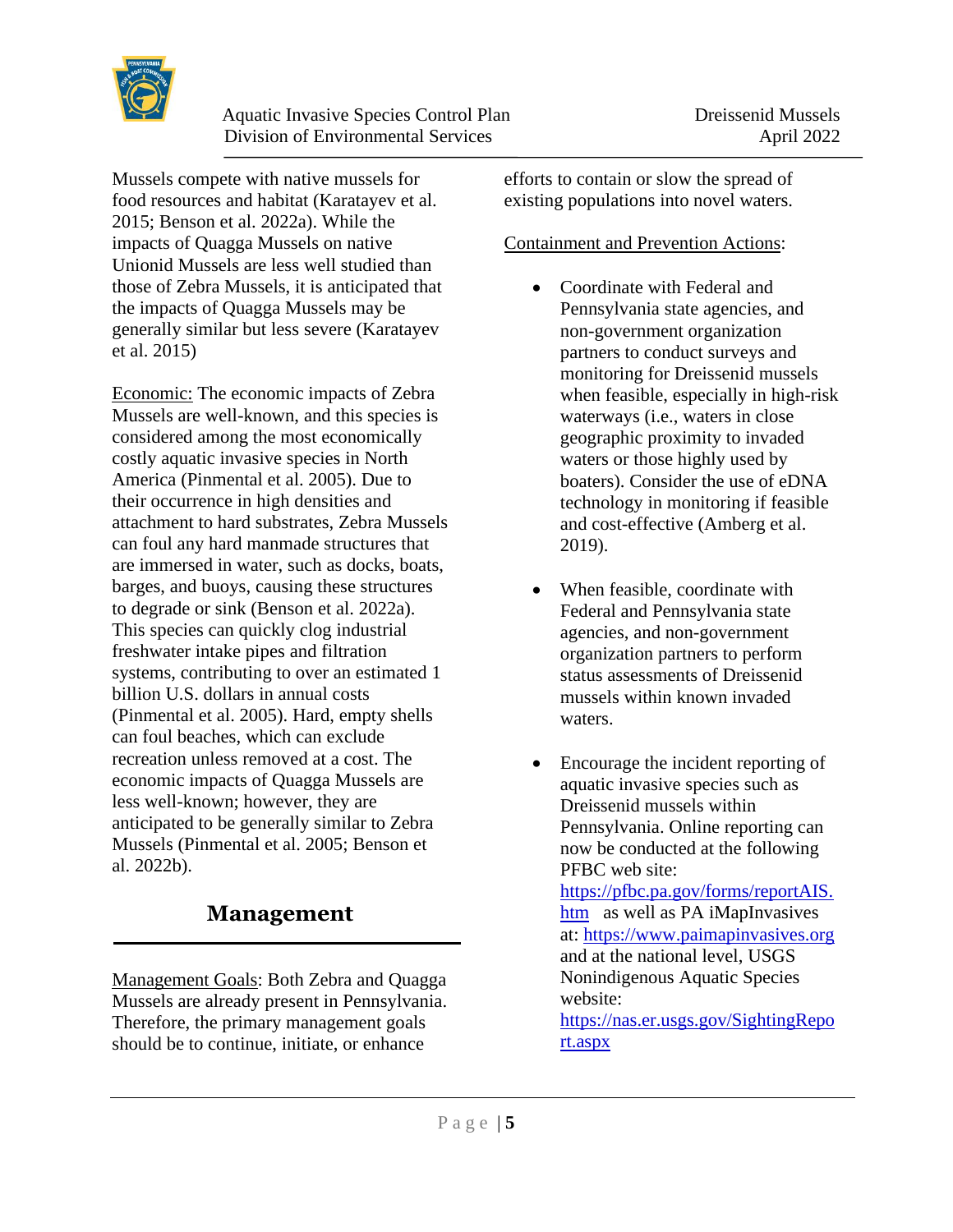

Mussels compete with native mussels for food resources and habitat (Karatayev et al. 2015; Benson et al. 2022a). While the impacts of Quagga Mussels on native Unionid Mussels are less well studied than those of Zebra Mussels, it is anticipated that the impacts of Quagga Mussels may be generally similar but less severe (Karatayev et al. 2015)

Economic: The economic impacts of Zebra Mussels are well-known, and this species is considered among the most economically costly aquatic invasive species in North America (Pinmental et al. 2005). Due to their occurrence in high densities and attachment to hard substrates, Zebra Mussels can foul any hard manmade structures that are immersed in water, such as docks, boats, barges, and buoys, causing these structures to degrade or sink (Benson et al. 2022a). This species can quickly clog industrial freshwater intake pipes and filtration systems, contributing to over an estimated 1 billion U.S. dollars in annual costs (Pinmental et al. 2005). Hard, empty shells can foul beaches, which can exclude recreation unless removed at a cost. The economic impacts of Quagga Mussels are less well-known; however, they are anticipated to be generally similar to Zebra Mussels (Pinmental et al. 2005; Benson et al. 2022b).

### **Management**

Management Goals: Both Zebra and Quagga Mussels are already present in Pennsylvania. Therefore, the primary management goals should be to continue, initiate, or enhance

efforts to contain or slow the spread of existing populations into novel waters.

#### Containment and Prevention Actions:

- Coordinate with Federal and Pennsylvania state agencies, and non-government organization partners to conduct surveys and monitoring for Dreissenid mussels when feasible, especially in high-risk waterways (i.e., waters in close geographic proximity to invaded waters or those highly used by boaters). Consider the use of eDNA technology in monitoring if feasible and cost-effective (Amberg et al. 2019).
- When feasible, coordinate with Federal and Pennsylvania state agencies, and non-government organization partners to perform status assessments of Dreissenid mussels within known invaded waters.
- Encourage the incident reporting of aquatic invasive species such as Dreissenid mussels within Pennsylvania. Online reporting can now be conducted at the following PFBC web site: [https://pfbc.pa.gov/forms/reportAIS.](https://pfbc.pa.gov/forms/reportAIS.htm) [htm](https://pfbc.pa.gov/forms/reportAIS.htm) as well as PA iMapInvasives at: [https://www.paimapinvasives.org](https://www.paimapinvasives.org/) and at the national level, USGS Nonindigenous Aquatic Species website: [https://nas.er.usgs.gov/SightingRepo](https://nas.er.usgs.gov/SightingReport.aspx) [rt.aspx](https://nas.er.usgs.gov/SightingReport.aspx)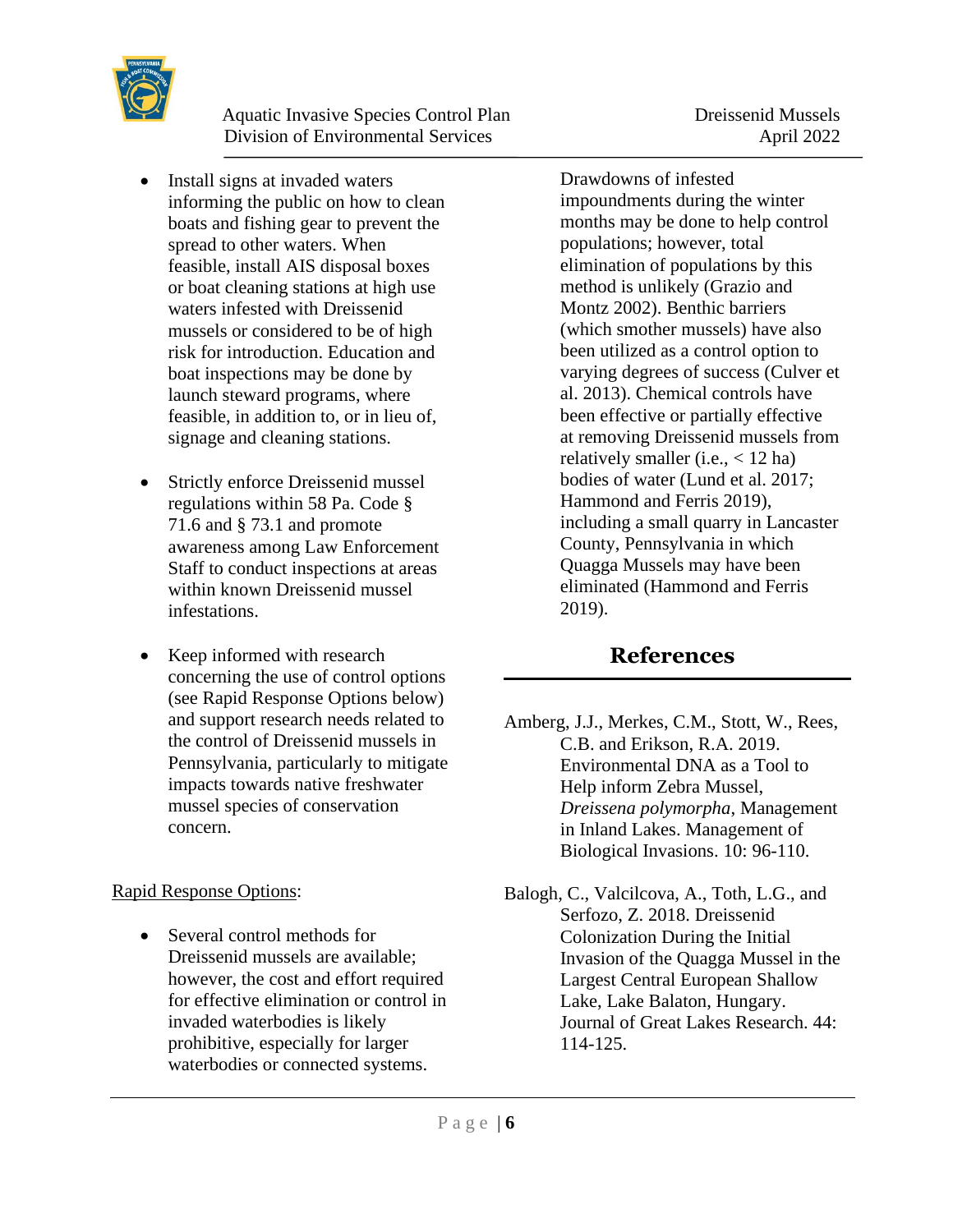

- Install signs at invaded waters informing the public on how to clean boats and fishing gear to prevent the spread to other waters. When feasible, install AIS disposal boxes or boat cleaning stations at high use waters infested with Dreissenid mussels or considered to be of high risk for introduction. Education and boat inspections may be done by launch steward programs, where feasible, in addition to, or in lieu of, signage and cleaning stations.
- Strictly enforce Dreissenid mussel regulations within 58 Pa. Code § 71.6 and § 73.1 and promote awareness among Law Enforcement Staff to conduct inspections at areas within known Dreissenid mussel infestations.
- Keep informed with research concerning the use of control options (see Rapid Response Options below) and support research needs related to the control of Dreissenid mussels in Pennsylvania, particularly to mitigate impacts towards native freshwater mussel species of conservation concern.

#### Rapid Response Options:

• Several control methods for Dreissenid mussels are available; however, the cost and effort required for effective elimination or control in invaded waterbodies is likely prohibitive, especially for larger waterbodies or connected systems.

Drawdowns of infested impoundments during the winter months may be done to help control populations; however, total elimination of populations by this method is unlikely (Grazio and Montz 2002). Benthic barriers (which smother mussels) have also been utilized as a control option to varying degrees of success (Culver et al. 2013). Chemical controls have been effective or partially effective at removing Dreissenid mussels from relatively smaller (i.e.,  $<$  12 ha) bodies of water (Lund et al. 2017; Hammond and Ferris 2019), including a small quarry in Lancaster County, Pennsylvania in which Quagga Mussels may have been eliminated (Hammond and Ferris 2019).

### **References**

- Amberg, J.J., Merkes, C.M., Stott, W., Rees, C.B. and Erikson, R.A. 2019. Environmental DNA as a Tool to Help inform Zebra Mussel, *Dreissena polymorpha*, Management in Inland Lakes. Management of Biological Invasions. 10: 96-110.
- Balogh, C., Valcilcova, A., Toth, L.G., and Serfozo, Z. 2018. Dreissenid Colonization During the Initial Invasion of the Quagga Mussel in the Largest Central European Shallow Lake, Lake Balaton, Hungary. Journal of Great Lakes Research. 44: 114-125.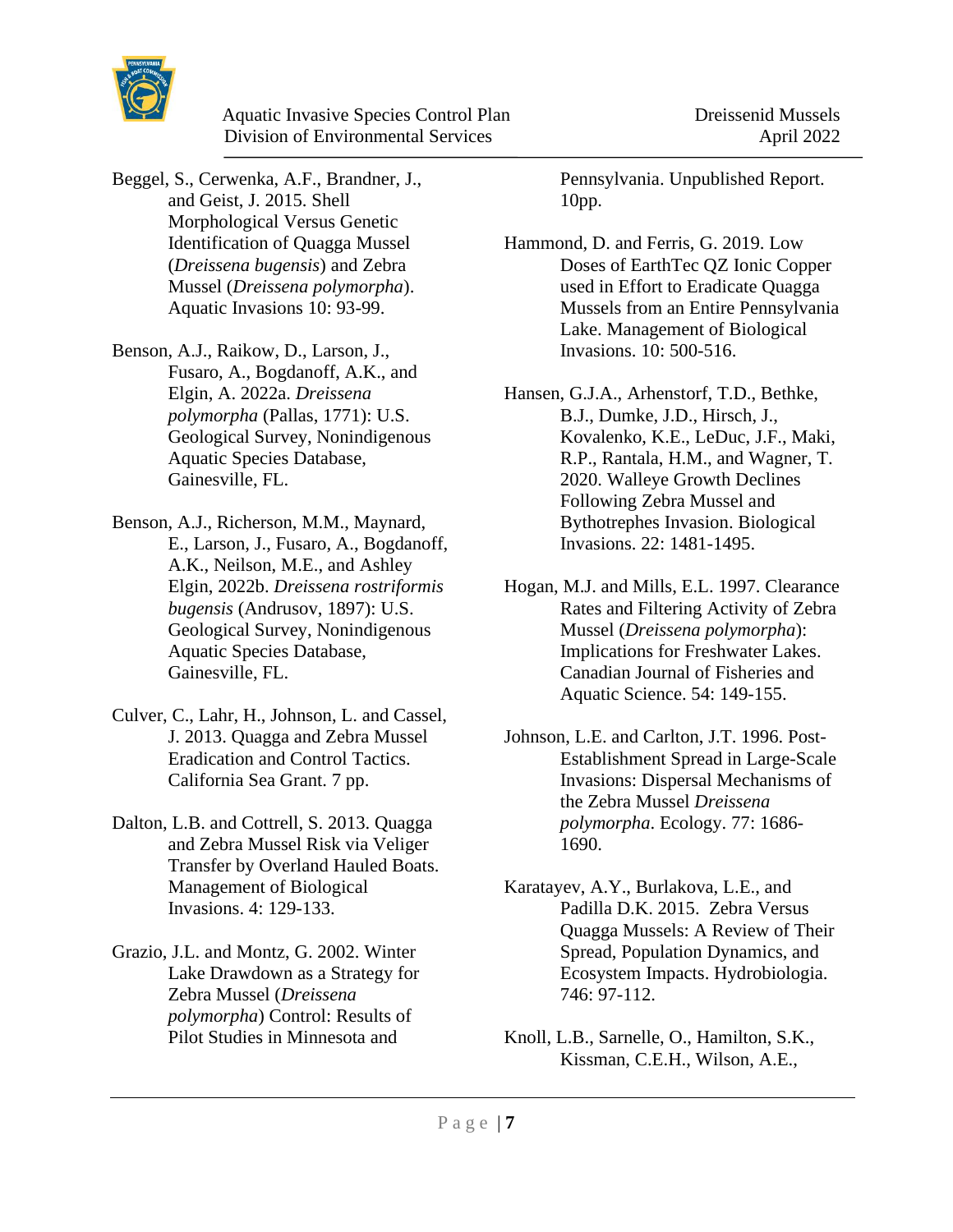

- Beggel, S., Cerwenka, A.F., Brandner, J., and Geist, J. 2015. Shell Morphological Versus Genetic Identification of Quagga Mussel (*Dreissena bugensis*) and Zebra Mussel (*Dreissena polymorpha*). Aquatic Invasions 10: 93-99.
- Benson, A.J., Raikow, D., Larson, J., Fusaro, A., Bogdanoff, A.K., and Elgin, A. 2022a. *Dreissena polymorpha* (Pallas, 1771): U.S. Geological Survey, Nonindigenous Aquatic Species Database, Gainesville, FL.
- Benson, A.J., Richerson, M.M., Maynard, E., Larson, J., Fusaro, A., Bogdanoff, A.K., Neilson, M.E., and Ashley Elgin, 2022b. *Dreissena rostriformis bugensis* (Andrusov, 1897): U.S. Geological Survey, Nonindigenous Aquatic Species Database, Gainesville, FL.
- Culver, C., Lahr, H., Johnson, L. and Cassel, J. 2013. Quagga and Zebra Mussel Eradication and Control Tactics. California Sea Grant. 7 pp.
- Dalton, L.B. and Cottrell, S. 2013. Quagga and Zebra Mussel Risk via Veliger Transfer by Overland Hauled Boats. Management of Biological Invasions. 4: 129-133.
- Grazio, J.L. and Montz, G. 2002. Winter Lake Drawdown as a Strategy for Zebra Mussel (*Dreissena polymorpha*) Control: Results of Pilot Studies in Minnesota and

Pennsylvania. Unpublished Report. 10pp.

- Hammond, D. and Ferris, G. 2019. Low Doses of EarthTec QZ Ionic Copper used in Effort to Eradicate Quagga Mussels from an Entire Pennsylvania Lake. Management of Biological Invasions. 10: 500-516.
- Hansen, G.J.A., Arhenstorf, T.D., Bethke, B.J., Dumke, J.D., Hirsch, J., Kovalenko, K.E., LeDuc, J.F., Maki, R.P., Rantala, H.M., and Wagner, T. 2020. Walleye Growth Declines Following Zebra Mussel and Bythotrephes Invasion. Biological Invasions. 22: 1481-1495.
- Hogan, M.J. and Mills, E.L. 1997. Clearance Rates and Filtering Activity of Zebra Mussel (*Dreissena polymorpha*): Implications for Freshwater Lakes. Canadian Journal of Fisheries and Aquatic Science. 54: 149-155.
- Johnson, L.E. and Carlton, J.T. 1996. Post-Establishment Spread in Large-Scale Invasions: Dispersal Mechanisms of the Zebra Mussel *Dreissena polymorpha*. Ecology. 77: 1686- 1690.
- Karatayev, A.Y., Burlakova, L.E., and Padilla D.K. 2015. Zebra Versus Quagga Mussels: A Review of Their Spread, Population Dynamics, and Ecosystem Impacts. Hydrobiologia. 746: 97-112.
- Knoll, L.B., Sarnelle, O., Hamilton, S.K., Kissman, C.E.H., Wilson, A.E.,